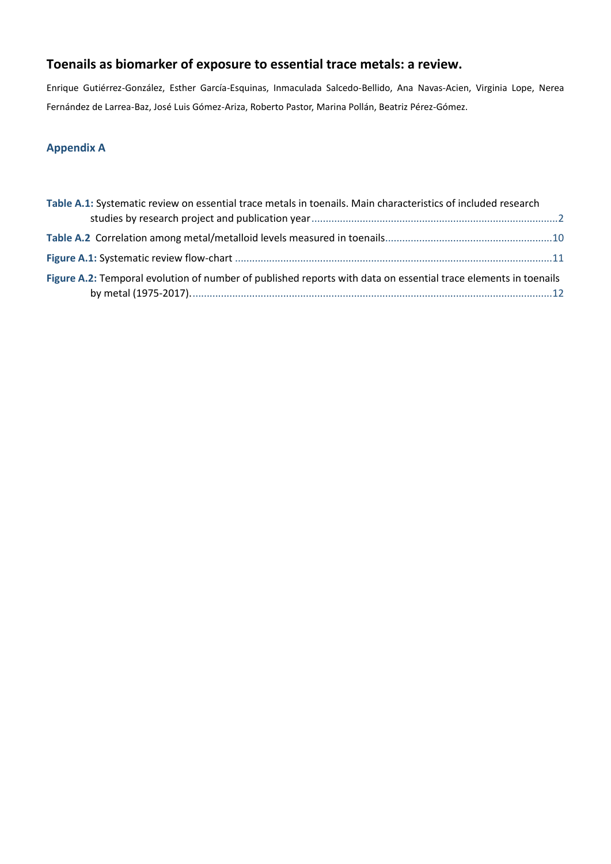# **Toenails as biomarker of exposure to essential trace metals: a review.**

Enrique Gutiérrez-González, Esther García-Esquinas, Inmaculada Salcedo-Bellido, Ana Navas-Acien, Virginia Lope, Nerea Fernández de Larrea-Baz, José Luis Gómez-Ariza, Roberto Pastor, Marina Pollán, Beatriz Pérez-Gómez.

## **Appendix A**

| Table A.1: Systematic review on essential trace metals in toenails. Main characteristics of included research   |  |
|-----------------------------------------------------------------------------------------------------------------|--|
|                                                                                                                 |  |
|                                                                                                                 |  |
|                                                                                                                 |  |
| Figure A.2: Temporal evolution of number of published reports with data on essential trace elements in toenails |  |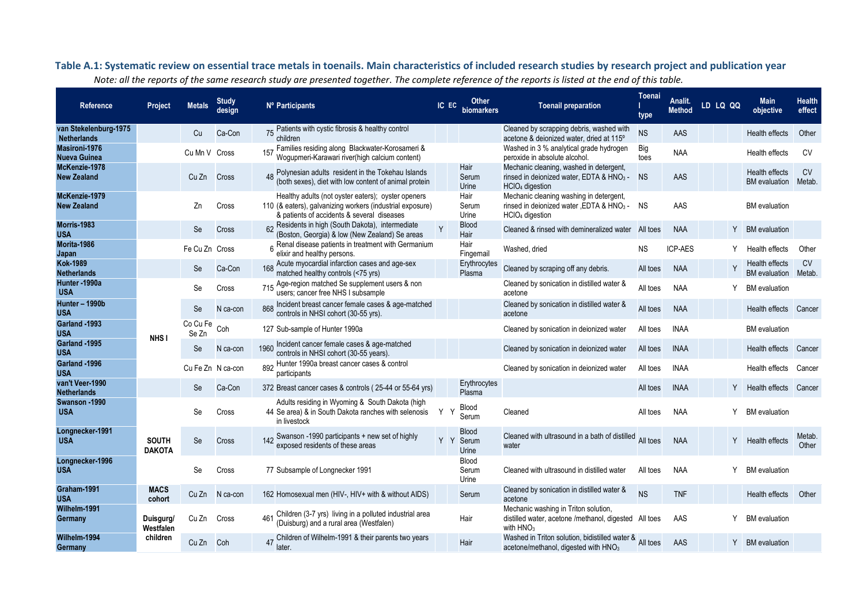<span id="page-1-0"></span>

| Reference                                   | Project                       | <b>Metals</b>     | <b>Study</b><br>design | Nº Participants                                                                                                                                               |     | IC EC Other<br>biomarkers          | <b>Toenail preparation</b>                                                                                                      | Toenai<br>type | Analit.<br>Method | LD LQ QQ | <b>Main</b><br>objective                      | <b>Health</b><br>effect |
|---------------------------------------------|-------------------------------|-------------------|------------------------|---------------------------------------------------------------------------------------------------------------------------------------------------------------|-----|------------------------------------|---------------------------------------------------------------------------------------------------------------------------------|----------------|-------------------|----------|-----------------------------------------------|-------------------------|
| van Stekelenburg-1975<br><b>Netherlands</b> |                               | Cu                | Ca-Con                 | 75 Patients with cystic fibrosis & healthy control<br>children                                                                                                |     |                                    | Cleaned by scrapping debris, washed with<br>acetone & deionized water, dried at 115°                                            | <b>NS</b>      | AAS               |          | Health effects                                | Other                   |
| Masironi-1976<br><b>Nueva Guinea</b>        |                               | Cu Mn V Cross     |                        | Families residing along Blackwater-Korosameri &<br>Wogupmeri-Karawari river(high calcium content)                                                             |     |                                    | Washed in 3 % analytical grade hydrogen<br>peroxide in absolute alcohol.                                                        | Big<br>toes    | <b>NAA</b>        |          | <b>Health effects</b>                         | <b>CV</b>               |
| McKenzie-1978<br><b>New Zealand</b>         |                               | Cu Zn             | Cross                  | 48 Polynesian adults resident in the Tokehau Islands<br>(both sexes), diet with low content of animal protein                                                 |     | Hair<br>Serum<br>Urine             | Mechanic cleaning, washed in detergent,<br>rinsed in deionized water, EDTA & HNO <sub>3</sub> -<br>HClO <sub>4</sub> digestion  | <b>NS</b>      | AAS               |          | <b>Health effects</b><br><b>BM</b> evaluation | <b>CV</b><br>Metab.     |
| McKenzie-1979<br><b>New Zealand</b>         |                               | Zn                | Cross                  | Healthy adults (not oyster eaters); oyster openers<br>110 (& eaters), galvanizing workers (industrial exposure)<br>& patients of accidents & several diseases |     | Hair<br>Serum<br>Urine             | Mechanic cleaning washing in detergent,<br>rinsed in deionized water , EDTA & HNO <sub>3</sub> -<br>HClO <sub>4</sub> digestion | <b>NS</b>      | AAS               |          | <b>BM</b> evaluation                          |                         |
| Morris-1983<br><b>USA</b>                   |                               | Se                | Cross                  | 62 Residents in high (South Dakota), intermediate<br>(Boston, Georgia) & low (New Zealand) Se areas                                                           | Y   | <b>Blood</b><br>Hair               | Cleaned & rinsed with demineralized water                                                                                       | All toes       | <b>NAA</b>        | Y        | <b>BM</b> evaluation                          |                         |
| Morita-1986<br>Japan                        |                               | Fe Cu Zn Cross    |                        | Renal disease patients in treatment with Germanium<br>elixir and healthy persons.                                                                             |     | Hair<br>Fingernail                 | Washed, dried                                                                                                                   | <b>NS</b>      | <b>ICP-AES</b>    |          | Health effects                                | Other                   |
| <b>Kok-1989</b><br><b>Netherlands</b>       |                               | Se                | Ca-Con                 | Acute myocardial infarction cases and age-sex<br>168<br>matched healthy controls (<75 yrs)                                                                    |     | Erythrocytes<br>Plasma             | Cleaned by scraping off any debris.                                                                                             | All toes       | <b>NAA</b>        |          | Health effects<br><b>BM</b> evaluation        | <b>CV</b><br>Metab      |
| Hunter - 1990a<br><b>USA</b>                |                               | Se                | Cross                  | 715 Age-region matched Se supplement users & non<br>users; cancer free NHS I subsample                                                                        |     |                                    | Cleaned by sonication in distilled water &<br>acetone                                                                           | All toes       | <b>NAA</b>        |          | <b>BM</b> evaluation                          |                         |
| Hunter - 1990b<br><b>USA</b>                |                               | Se                | N ca-con               | Incident breast cancer female cases & age-matched<br>868<br>controls in NHSI cohort (30-55 yrs).                                                              |     |                                    | Cleaned by sonication in distilled water &<br>acetone                                                                           | All toes       | <b>NAA</b>        |          | Health effects                                | Cancer                  |
| Garland -1993<br><b>USA</b>                 | NHS <sub>I</sub>              | Co Cu Fe<br>Se Zn | Coh                    | 127 Sub-sample of Hunter 1990a                                                                                                                                |     |                                    | Cleaned by sonication in deionized water                                                                                        | All toes       | <b>INAA</b>       |          | <b>BM</b> evaluation                          |                         |
| Garland -1995<br><b>USA</b>                 |                               | Se                | N ca-con               | Incident cancer female cases & age-matched<br>1960<br>controls in NHSI cohort (30-55 years).                                                                  |     |                                    | Cleaned by sonication in deionized water                                                                                        | All toes       | <b>INAA</b>       |          | Health effects                                | Cancer                  |
| Garland -1996<br><b>USA</b>                 |                               |                   | Cu Fe Zn N ca-con      | 892 Hunter 1990a breast cancer cases & control<br>participants                                                                                                |     |                                    | Cleaned by sonication in deionized water                                                                                        | All toes       | <b>INAA</b>       |          | Health effects                                | Cancer                  |
| van't Veer-1990<br><b>Netherlands</b>       |                               | Se                | Ca-Con                 | 372 Breast cancer cases & controls (25-44 or 55-64 yrs)                                                                                                       |     | Erythrocytes<br>Plasma             |                                                                                                                                 | All toes       | <b>INAA</b>       |          | Y Health effects                              | Cancer                  |
| Swanson - 1990<br><b>USA</b>                |                               | Se                | Cross                  | Adults residing in Wyoming & South Dakota (high<br>44 Se area) & in South Dakota ranches with selenosis<br>in livestock                                       | Y Y | <b>Blood</b><br>Serum              | Cleaned                                                                                                                         | All toes       | <b>NAA</b>        | Y.       | <b>BM</b> evaluation                          |                         |
| Longnecker-1991<br><b>USA</b>               | <b>SOUTH</b><br><b>DAKOTA</b> | Se                | Cross                  | Swanson -1990 participants + new set of highly<br>exposed residents of these areas                                                                            |     | <b>Blood</b><br>Y Y Serum<br>Urine | Cleaned with ultrasound in a bath of distilled<br>water                                                                         | All toes       | <b>NAA</b>        | Y        | Health effects                                | Metab.<br>Other         |
| Longnecker-1996<br><b>USA</b>               |                               | Se                | Cross                  | 77 Subsample of Longnecker 1991                                                                                                                               |     | <b>Blood</b><br>Serum<br>Urine     | Cleaned with ultrasound in distilled water                                                                                      | All toes       | <b>NAA</b>        | Y        | <b>BM</b> evaluation                          |                         |
| Graham-1991<br><b>USA</b>                   | <b>MACS</b><br>cohort         | Cu Zn             | N ca-con               | 162 Homosexual men (HIV-, HIV+ with & without AIDS)                                                                                                           |     | Serum                              | Cleaned by sonication in distilled water &<br>acetone                                                                           | <b>NS</b>      | <b>TNF</b>        |          | Health effects                                | Other                   |
| Wilhelm 1991<br>Germany                     | Duisgurg/<br>Westfalen        | Cu Zn Cross       |                        | 461 Children (3-7 yrs) living in a polluted industrial area<br>(Duisburg) and a rural area (Westfalen)                                                        |     | Hair                               | Mechanic washing in Triton solution,<br>distilled water, acetone /methanol, digested All toes<br>with $HNO3$                    |                | AAS               |          | <b>BM</b> evaluation                          |                         |
| Wilhelm 1994<br>Germany                     | children                      | Cu Zn Coh         |                        | 47 Children of Wilhelm-1991 & their parents two years<br>later                                                                                                |     | Hair                               | Washed in Triton solution, bidistilled water & All toes<br>acetone/methanol, digested with HNO <sub>3</sub>                     |                | AAS               |          | Y BM evaluation                               |                         |

### **Table A.1: Systematic review on essential trace metals in toenails. Main characteristics of included research studies by research project and publication year**

*Note: all the reports of the same research study are presented together. The complete reference of the reports is listed at the end of this table.*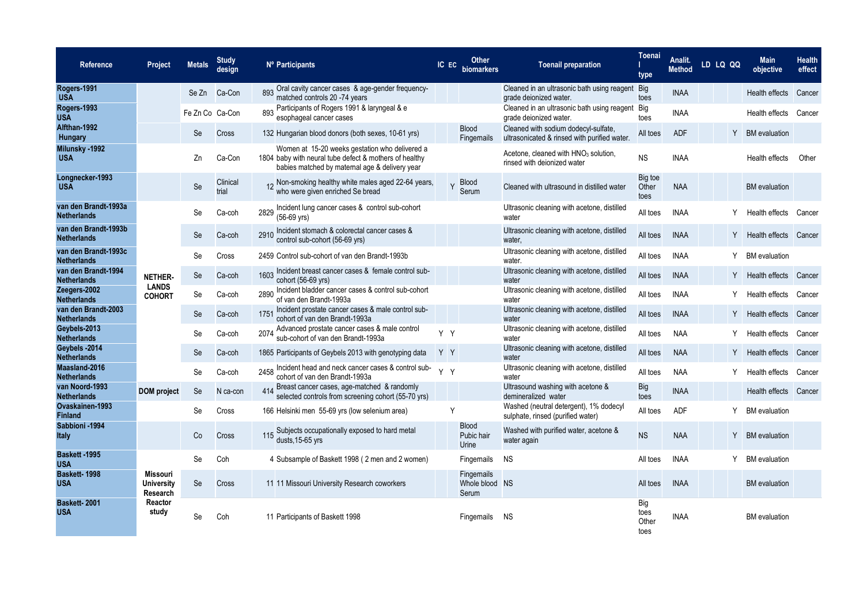| Reference                                  | <b>Project</b>                            | <b>Metals</b>   | <b>Study</b><br>design |      | Nº Participants                                                                                                                                            |     | IC EC Other<br>biomarkers           |                | <b>Toenail preparation</b>                                                           |                              | Analit.<br><b>Method</b> | LD LQ QQ | <b>Main</b><br>objective | <b>Health</b><br>effect |
|--------------------------------------------|-------------------------------------------|-----------------|------------------------|------|------------------------------------------------------------------------------------------------------------------------------------------------------------|-----|-------------------------------------|----------------|--------------------------------------------------------------------------------------|------------------------------|--------------------------|----------|--------------------------|-------------------------|
| Rogers-1991<br><b>USA</b>                  |                                           | Se Zn           | Ca-Con                 | 893  | Oral cavity cancer cases & age-gender frequency-<br>matched controls 20 -74 years                                                                          |     |                                     |                | Cleaned in an ultrasonic bath using reagent<br>grade deionized water.                | <b>Big</b><br>toes           | <b>INAA</b>              |          | Health effects           | Cancer                  |
| Rogers-1993<br><b>USA</b>                  |                                           | Fe Zn Co Ca-Con |                        |      | 893 Participants of Rogers 1991 & laryngeal & e<br>esophageal cancer cases                                                                                 |     |                                     |                | Cleaned in an ultrasonic bath using reagent<br>grade deionized water.                | Big<br>toes                  | <b>INAA</b>              |          | Health effects           | Cancer                  |
| Alfthan-1992<br>Hungary                    |                                           | Se              | Cross                  |      | 132 Hungarian blood donors (both sexes, 10-61 yrs)                                                                                                         |     | <b>Blood</b><br>Fingernails         |                | Cleaned with sodium dodecyl-sulfate,<br>ultrasonicated & rinsed with purified water. | All toes                     | <b>ADF</b>               | Y        | <b>BM</b> evaluation     |                         |
| Milunsky -1992<br><b>USA</b>               |                                           | Zn              | Ca-Con                 |      | Women at 15-20 weeks gestation who delivered a<br>1804 baby with neural tube defect & mothers of healthy<br>babies matched by maternal age & delivery year |     |                                     |                | Acetone, cleaned with HNO <sub>3</sub> solution,<br>rinsed with deionized water      | <b>NS</b>                    | <b>INAA</b>              |          | Health effects           | Other                   |
| Longnecker-1993<br><b>USA</b>              |                                           | Se              | Clinical<br>trial      |      | 12 Non-smoking healthy white males aged 22-64 years,<br>who were given enriched Se bread                                                                   |     | <b>Blood</b><br>Y<br>Serum          |                | Cleaned with ultrasound in distilled water                                           | Big toe<br>Other<br>toes     | <b>NAA</b>               |          | <b>BM</b> evaluation     |                         |
| van den Brandt-1993a<br><b>Netherlands</b> |                                           | Se              | Ca-coh                 | 2829 | Incident lung cancer cases & control sub-cohort<br>(56-69 yrs)                                                                                             |     |                                     |                | Ultrasonic cleaning with acetone, distilled<br>water                                 | All toes                     | <b>INAA</b>              |          | Health effects           | Cancer                  |
| van den Brandt-1993b<br><b>Netherlands</b> |                                           | Se              | Ca-coh                 |      | 2910 Incident stomach & colorectal cancer cases &<br>control sub-cohort (56-69 yrs)                                                                        |     |                                     |                | Ultrasonic cleaning with acetone, distilled<br>water,                                | All toes                     | <b>INAA</b>              | Y        | Health effects Cancer    |                         |
| van den Brandt-1993c<br><b>Netherlands</b> |                                           | Se              | Cross                  |      | 2459 Control sub-cohort of van den Brandt-1993b                                                                                                            |     |                                     |                | Ultrasonic cleaning with acetone, distilled<br>water.                                | All toes                     | <b>INAA</b>              |          | <b>BM</b> evaluation     |                         |
| van den Brandt-1994<br><b>Netherlands</b>  | <b>NETHER-</b>                            | <b>Se</b>       | Ca-coh                 | 1603 | Incident breast cancer cases & female control sub-<br>cohort (56-69 yrs)                                                                                   |     |                                     |                | Ultrasonic cleaning with acetone, distilled<br>water                                 | All toes                     | <b>INAA</b>              | Y        | Health effects Cancer    |                         |
| Zeegers-2002<br><b>Netherlands</b>         | <b>LANDS</b><br><b>COHORT</b>             | Se              | Ca-coh                 | 2890 | Incident bladder cancer cases & control sub-cohort<br>of van den Brandt-1993a                                                                              |     |                                     |                | Ultrasonic cleaning with acetone, distilled<br>water                                 | All toes                     | <b>INAA</b>              |          | Health effects           | Cancer                  |
| van den Brandt-2003<br><b>Netherlands</b>  |                                           | Se              | Ca-coh                 | 1751 | Incident prostate cancer cases & male control sub-<br>cohort of van den Brandt-1993a                                                                       |     |                                     |                | Ultrasonic cleaning with acetone, distilled<br>water                                 | All toes                     | <b>INAA</b>              | Y        | Health effects           | Cancer                  |
| Geybels-2013<br><b>Netherlands</b>         |                                           | Se              | Ca-coh                 | 2074 | Advanced prostate cancer cases & male control<br>sub-cohort of van den Brandt-1993a                                                                        | Y Y |                                     |                | Ultrasonic cleaning with acetone, distilled<br>water                                 | All toes                     | <b>NAA</b>               |          | Health effects           | Cancer                  |
| Geybels -2014<br><b>Netherlands</b>        |                                           | Se              | Ca-coh                 |      | 1865 Participants of Geybels 2013 with genotyping data                                                                                                     | YY  |                                     |                | Ultrasonic cleaning with acetone, distilled<br>water                                 | All toes                     | <b>NAA</b>               | Y        | Health effects           | Cancer                  |
| Maasland-2016<br><b>Netherlands</b>        |                                           | Se              | Ca-coh                 |      | 2458 Incident head and neck cancer cases & control sub-<br>cohort of van den Brandt-1993a                                                                  | Y Y |                                     |                | Ultrasonic cleaning with acetone, distilled<br>water                                 | All toes                     | <b>NAA</b>               |          | Health effects           | Cancer                  |
| van Noord-1993<br><b>Netherlands</b>       | <b>DOM</b> project                        | Se              | N ca-con               | 414  | Breast cancer cases, age-matched & randomly<br>selected controls from screening cohort (55-70 yrs)                                                         |     |                                     |                | Ultrasound washing with acetone &<br>demineralized water                             | <b>Big</b><br>toes           | <b>INAA</b>              |          | Health effects Cancer    |                         |
| Ovaskainen 1993<br><b>Finland</b>          |                                           | Se              | Cross                  |      | 166 Helsinki men 55-69 yrs (low selenium area)                                                                                                             |     | Y                                   |                | Washed (neutral detergent), 1% dodecyl<br>sulphate, rinsed (purified water)          | All toes                     | <b>ADF</b>               |          | <b>BM</b> evaluation     |                         |
| Sabbioni - 1994<br>Italy                   |                                           | Co              | Cross                  |      | 115 Subjects occupationally exposed to hard metal<br>$dusts$ , 15-65 yrs                                                                                   |     | <b>Blood</b><br>Pubic hair<br>Urine |                | Washed with purified water, acetone &<br>water again                                 | <b>NS</b>                    | <b>NAA</b>               | Y.       | <b>BM</b> evaluation     |                         |
| Baskett - 1995<br><b>USA</b>               |                                           | Se              | Coh                    |      | 4 Subsample of Baskett 1998 (2 men and 2 women)                                                                                                            |     | Fingernails                         |                | NS.                                                                                  | All toes                     | <b>INAA</b>              |          | <b>BM</b> evaluation     |                         |
| Baskett-1998<br><b>USA</b>                 | Missouri<br><b>University</b><br>Research | Se              | Cross                  |      | 11 11 Missouri University Research coworkers                                                                                                               |     | Fingernails<br>Serum                | Whole blood NS |                                                                                      | All toes                     | <b>INAA</b>              |          | <b>BM</b> evaluation     |                         |
| Baskett-2001<br><b>USA</b>                 | Reactor<br>study                          | Se              | Coh                    |      | 11 Participants of Baskett 1998                                                                                                                            |     | <b>Fingernails</b>                  |                | - NS                                                                                 | Big<br>toes<br>Other<br>toes | <b>INAA</b>              |          | <b>BM</b> evaluation     |                         |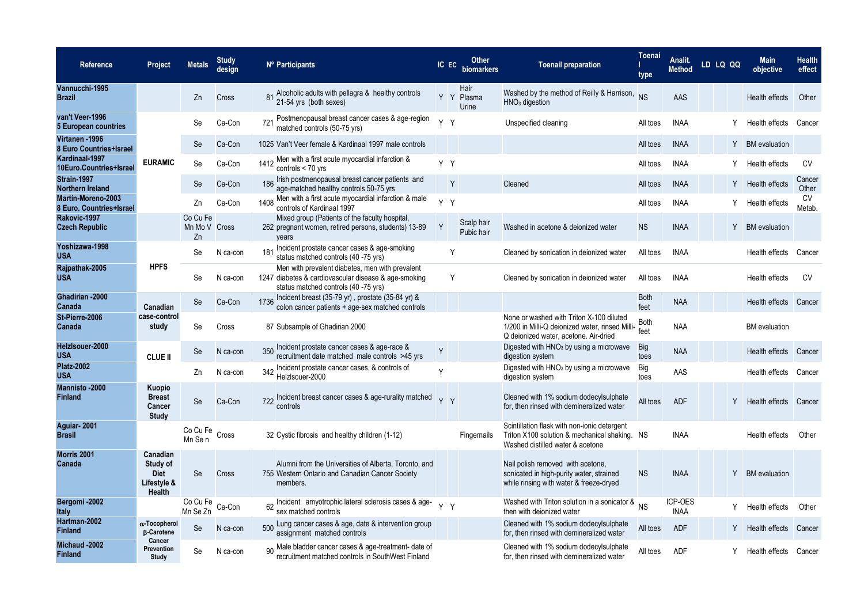| Reference                                             | Project                                                      | <b>Metals</b>                   | <b>Study</b><br>desian |                 | Nº Participants                                                                                                                                 | IC EC | Other<br>biomarkers         | <b>Toenail preparation</b>                                                                                                           | <b>Toenai</b><br>type | Analit.<br>Method      | LD LQ QQ | <b>Main</b><br>objective | <b>Health</b><br>effect |
|-------------------------------------------------------|--------------------------------------------------------------|---------------------------------|------------------------|-----------------|-------------------------------------------------------------------------------------------------------------------------------------------------|-------|-----------------------------|--------------------------------------------------------------------------------------------------------------------------------------|-----------------------|------------------------|----------|--------------------------|-------------------------|
| Vannucchi-1995<br><b>Brazil</b>                       |                                                              | Zn                              | Cross                  |                 | 81 Alcoholic adults with pellagra & healthy controls<br>21-54 yrs (both sexes)                                                                  |       | Hair<br>Y Y Plasma<br>Urine | Washed by the method of Reilly & Harrison,<br>$HNO3$ digestion                                                                       | <b>NS</b>             | AAS                    |          | Health effects           | Other                   |
| van't Veer-1996<br>5 European countries               |                                                              | Se                              | Ca-Con                 |                 | Postmenopausal breast cancer cases & age-region<br>matched controls (50-75 yrs)                                                                 | Y Y   |                             | Unspecified cleaning                                                                                                                 | All toes              | <b>INAA</b>            |          | Health effects           | Cancer                  |
| Virtanen - 1996<br>8 Euro Countries+Israel            |                                                              | Se                              | Ca-Con                 |                 | 1025 Van't Veer female & Kardinaal 1997 male controls                                                                                           |       |                             |                                                                                                                                      | All toes              | <b>INAA</b>            | Y.       | <b>BM</b> evaluation     |                         |
| Kardinaal-1997<br>10Euro.Countries+Israel             | <b>EURAMIC</b>                                               | Se                              | Ca-Con                 | 1412            | Men with a first acute myocardial infarction &<br>controls $<$ 70 yrs                                                                           | Y Y   |                             |                                                                                                                                      | All toes              | <b>INAA</b>            | Y        | Health effects           | <b>CV</b>               |
| Strain-1997<br>Northern Ireland                       |                                                              | Se                              | Ca-Con                 | 186             | Irish postmenopausal breast cancer patients and<br>age-matched healthy controls 50-75 yrs                                                       |       | Y                           | Cleaned                                                                                                                              | All toes              | <b>INAA</b>            | Y        | Health effects           | Cancer<br>Other         |
| <b>Martín-Moreno-2003</b><br>8 Euro. Countries+Israel |                                                              | Zn                              | Ca-Con                 | 1408            | Men with a first acute myocardial infarction & male<br>controls of Kardinaal 1997                                                               | Y Y   |                             |                                                                                                                                      | All toes              | <b>INAA</b>            |          | Health effects           | CV<br>Metab.            |
| Rakovic-1997<br><b>Czech Republic</b>                 |                                                              | Co Cu Fe<br>Mn Mo V Cross<br>Zn |                        |                 | Mixed group (Patients of the faculty hospital,<br>262 pregnant women, retired persons, students) 13-89<br>vears                                 | Y     | Scalp hair<br>Pubic hair    | Washed in acetone & deionized water                                                                                                  | <b>NS</b>             | <b>INAA</b>            |          | Y BM evaluation          |                         |
| Yoshizawa-1998<br><b>USA</b>                          |                                                              | Se                              | N ca-con               | 18 <sup>7</sup> | Incident prostate cancer cases & age-smoking<br>status matched controls (40 -75 yrs)                                                            |       | Y                           | Cleaned by sonication in deionized water                                                                                             | All toes              | <b>INAA</b>            |          | Health effects           | Cancer                  |
| Rajpathak-2005<br><b>USA</b>                          | <b>HPFS</b>                                                  | Se                              | N ca-con               |                 | Men with prevalent diabetes, men with prevalent<br>1247 diabetes & cardiovascular disease & age-smoking<br>status matched controls (40 -75 yrs) |       | Y                           | Cleaned by sonication in deionized water                                                                                             | All toes              | <b>INAA</b>            |          | Health effects           | <b>CV</b>               |
| Ghadirian - 2000<br>Canada                            | Canadian                                                     | Se                              | Ca-Con                 | 1736            | Incident breast (35-79 yr), prostate (35-84 yr) &<br>colon cancer patients + age-sex matched controls                                           |       |                             |                                                                                                                                      | <b>Both</b><br>feet   | <b>NAA</b>             |          | Health effects           | Cancer                  |
| St-Pierre-2006<br>Canada                              | case-control<br>study                                        | Se                              | Cross                  |                 | 87 Subsample of Ghadirian 2000                                                                                                                  |       |                             | None or washed with Triton X-100 diluted<br>1/200 in Milli-Q deionized water, rinsed Milli-<br>Q deionized water, acetone. Air-dried | Both<br>feet          | <b>NAA</b>             |          | <b>BM</b> evaluation     |                         |
| Helzlsouer-2000<br><b>USA</b>                         | <b>CLUE II</b>                                               | Se                              | N ca-con               |                 | 350 Incident prostate cancer cases & age-race &<br>recruitment date matched male controls >45 yrs                                               | Y     |                             | Digested with HNO <sub>3</sub> by using a microwave<br>digestion system                                                              | Big<br>toes           | <b>NAA</b>             |          | Health effects           | Cancer                  |
| <b>Platz-2002</b><br><b>USA</b>                       |                                                              | Zn                              | N ca-con               |                 | 342 Incident prostate cancer cases, & controls of<br>Helzlsouer-2000                                                                            | Y     |                             | Digested with HNO <sub>3</sub> by using a microwave<br>digestion system                                                              | Big<br>toes           | AAS                    |          | Health effects           | Cancer                  |
| <b>Mannisto-2000</b><br><b>Finland</b>                | Kuopio<br><b>Breast</b><br>Cancer<br><b>Study</b>            | <b>Se</b>                       | Ca-Con                 |                 | 722 Incident breast cancer cases & age-rurality matched<br>controls                                                                             | YY    |                             | Cleaned with 1% sodium dodecylsulphate<br>for, then rinsed with demineralized water                                                  | All toes              | <b>ADF</b>             |          | Y Health effects         | Cancer                  |
| Aguiar-2001<br><b>Brasil</b>                          |                                                              | Co Cu Fe Cross<br>Mn Se n       |                        |                 | 32 Cystic fibrosis and healthy children (1-12)                                                                                                  |       | Fingernails                 | Scintillation flask with non-ionic detergent<br>Triton X100 solution & mechanical shaking. NS<br>Washed distilled water & acetone    |                       | <b>INAA</b>            |          | Health effects           | Other                   |
| Morris 2001<br>Canada                                 | Canadian<br>Study of<br><b>Diet</b><br>Lifestyle &<br>Health | Se                              | <b>Cross</b>           |                 | Alumni from the Universities of Alberta, Toronto, and<br>755 Western Ontario and Canadian Cancer Society<br>members.                            |       |                             | Nail polish removed with acetone,<br>sonicated in high-purity water, strained<br>while rinsing with water & freeze-dryed             | <b>NS</b>             | <b>INAA</b>            | Y        | <b>BM</b> evaluation     |                         |
| Bergomi-2002<br><b>Italy</b>                          |                                                              | Co Cu Fe<br>Mn Se Zn            | Ca-Con                 |                 | 62 Incident amyotrophic lateral sclerosis cases & age-<br>sex matched controls                                                                  | Y Y   |                             | Washed with Triton solution in a sonicator & NS<br>then with deionized water                                                         |                       | ICP-OES<br><b>INAA</b> | Y        | Health effects           | Other                   |
| Hartman-2002<br><b>Finland</b>                        | α-Tocopherol<br><b>B-Carotene</b>                            | Se                              | N ca-con               | 500             | Lung cancer cases & age, date & intervention group<br>assignment matched controls                                                               |       |                             | Cleaned with 1% sodium dodecylsulphate<br>for, then rinsed with demineralized water                                                  | All toes              | <b>ADF</b>             | Y        | Health effects           | Cancer                  |
| Michaud -2002<br><b>Finland</b>                       | Cancer<br>Prevention<br>Study                                | Se                              | N ca-con               |                 | Male bladder cancer cases & age-treatment- date of<br>recruitment matched controls in SouthWest Finland                                         |       |                             | Cleaned with 1% sodium dodecylsulphate<br>for, then rinsed with demineralized water                                                  | All toes              | ADF                    |          | Y Health effects         | Cancer                  |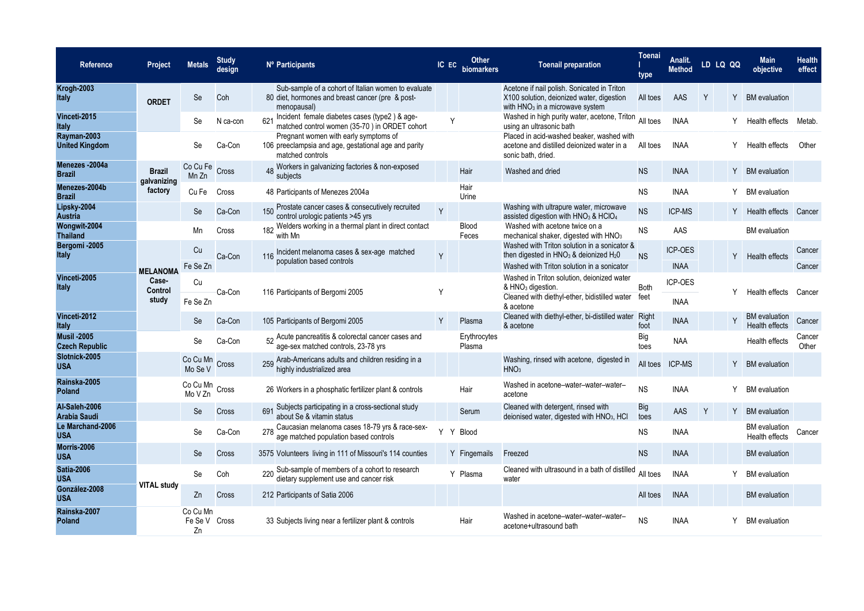| <b>Reference</b>                            | Project                      | <b>Metals</b>             | <b>Study</b><br>design | Nº Participants                                                                                                        | IC EC | Other<br>biomarkers    | <b>Toenail preparation</b>                                                                                                                | <b>Toenai</b><br>type | Analit.<br><b>Method</b> |   | LD LQ QQ | <b>Main</b><br>objective                      | <b>Health</b><br>effect |
|---------------------------------------------|------------------------------|---------------------------|------------------------|------------------------------------------------------------------------------------------------------------------------|-------|------------------------|-------------------------------------------------------------------------------------------------------------------------------------------|-----------------------|--------------------------|---|----------|-----------------------------------------------|-------------------------|
| <b>Krogh-2003</b><br><b>Italy</b>           | <b>ORDET</b>                 | <b>Se</b>                 | Coh                    | Sub-sample of a cohort of Italian women to evaluate<br>80 diet, hormones and breast cancer (pre & post-<br>menopausal) |       |                        | Acetone if nail polish. Sonicated in Triton<br>X100 solution, deionized water, digestion<br>with $HNO3$ in a microwave system             | All toes              | AAS                      | Y |          | Y BM evaluation                               |                         |
| Vinceti-2015<br><b>Italy</b>                |                              | Se                        | N ca-con               | Incident female diabetes cases (type2) & age-<br>621<br>matched control women (35-70) in ORDET cohort                  | Y     |                        | Washed in high purity water, acetone, Triton<br>using an ultrasonic bath                                                                  | All toes              | <b>INAA</b>              |   | Y        | Health effects                                | Metab.                  |
| Rayman-2003<br><b>United Kingdom</b>        |                              | Se                        | Ca-Con                 | Pregnant women with early symptoms of<br>106 preeclampsia and age, gestational age and parity<br>matched controls      |       |                        | Placed in acid-washed beaker, washed with<br>acetone and distilled deionized water in a<br>sonic bath, dried.                             | All toes              | <b>INAA</b>              |   | Y        | Health effects                                | Other                   |
| Menezes-2004a<br><b>Brazil</b>              | <b>Brazil</b><br>galvanizing | Co Cu Fe<br>Mn Zn         | Cross                  | 48 Workers in galvanizing factories & non-exposed<br>subiects                                                          |       | Hair                   | Washed and dried                                                                                                                          | <b>NS</b>             | <b>INAA</b>              |   | Y        | <b>BM</b> evaluation                          |                         |
| Menezes-2004b<br><b>Brazil</b>              | factory                      | Cu Fe                     | Cross                  | 48 Participants of Menezes 2004a                                                                                       |       | Hair<br>Urine          |                                                                                                                                           | <b>NS</b>             | <b>INAA</b>              |   | Y        | <b>BM</b> evaluation                          |                         |
| Lipsky-2004<br><b>Austria</b>               |                              | Se                        | Ca-Con                 | Prostate cancer cases & consecutively recruited<br>150<br>control urologic patients >45 yrs                            | Y     |                        | Washing with ultrapure water, microwave<br>assisted digestion with HNO <sub>3</sub> & HClO <sub>4</sub>                                   | <b>NS</b>             | <b>ICP-MS</b>            |   |          | Y Health effects Cancer                       |                         |
| Wongwit-2004<br><b>Thailand</b>             |                              | Mn                        | Cross                  | 182 Welders working in a thermal plant in direct contact<br>with Mn                                                    |       | <b>Blood</b><br>Feces  | Washed with acetone twice on a<br>mechanical shaker, digested with HNO <sub>3</sub>                                                       | <b>NS</b>             | AAS                      |   |          | <b>BM</b> evaluation                          |                         |
| Bergomi-2005<br><b>Italy</b>                |                              | Cu                        | Ca-Con                 | Incident melanoma cases & sex-age matched<br>116                                                                       | Y     |                        | Washed with Triton solution in a sonicator &<br>then digested in $HNO3$ & deionized $H2O$                                                 | <b>NS</b>             | <b>ICP-OES</b>           |   |          | Y Health effects                              | Cancer                  |
|                                             | <b>MELANOMA</b>              | Fe Se Zn                  |                        | population based controls                                                                                              |       |                        | Washed with Triton solution in a sonicator                                                                                                |                       | <b>INAA</b>              |   |          |                                               | Cancer                  |
| Vinceti-2005<br><b>Italy</b>                | Case-<br>Control<br>study    | Cu<br>Fe Se Zn            | Ca-Con                 | 116 Participants of Bergomi 2005                                                                                       | Y     |                        | Washed in Triton solution, deionized water<br>& HNO <sub>3</sub> digestion.<br>Cleaned with diethyl-ether, bidistilled water<br>& acetone | Both<br>feet          | ICP-OES<br><b>INAA</b>   |   |          | Health effects                                | Cancer                  |
| Vinceti-2012<br><b>Italy</b>                |                              | Se                        | Ca-Con                 | 105 Participants of Bergomi 2005                                                                                       | Y     | Plasma                 | Cleaned with diethyl-ether, bi-distilled water<br>& acetone                                                                               | Right<br>foot         | <b>INAA</b>              |   |          | <b>BM</b> evaluation<br><b>Health effects</b> | Cancer                  |
| <b>Musil -2005</b><br><b>Czech Republic</b> |                              | Se                        | Ca-Con                 | 52 Acute pancreatitis & colorectal cancer cases and<br>age-sex matched controls, 23-78 yrs                             |       | Erythrocytes<br>Plasma |                                                                                                                                           | Big<br>toes           | <b>NAA</b>               |   |          | Health effects                                | Cancer<br>Other         |
| Slotnick-2005<br><b>USA</b>                 |                              | Co Cu Mn<br>Mo Se V       | Cross                  | 259 Arab-Americans adults and children residing in a<br>highly industrialized area                                     |       |                        | Washing, rinsed with acetone, digested in<br>HNO <sub>3</sub>                                                                             | All toes              | <b>ICP-MS</b>            |   |          | Y BM evaluation                               |                         |
| Rainska-2005<br>Poland                      |                              | Co Cu Mn<br>Mo V Zn       | Cross                  | 26 Workers in a phosphatic fertilizer plant & controls                                                                 |       | Hair                   | Washed in acetone-water-water-water-<br>acetone                                                                                           | <b>NS</b>             | <b>INAA</b>              |   | Y        | <b>BM</b> evaluation                          |                         |
| Al-Saleh-2006<br>Arabia Saudi               |                              | Se                        | Cross                  | 691 Subjects participating in a cross-sectional study<br>about Se & vitamin status                                     |       | Serum                  | Cleaned with detergent, rinsed with<br>deionised water, digested with HNO <sub>3</sub> , HCI                                              | Big<br>toes           | AAS                      | Y | Y        | <b>BM</b> evaluation                          |                         |
| Le Marchand-2006<br><b>USA</b>              |                              | Se                        | Ca-Con                 | Caucasian melanoma cases 18-79 yrs & race-sex-<br>age matched population based controls                                | Y     | <b>Blood</b>           |                                                                                                                                           | <b>NS</b>             | <b>INAA</b>              |   |          | <b>BM</b> evaluation<br>Health effects        | Cancer                  |
| Morris-2006<br><b>USA</b>                   |                              | Se                        | Cross                  | 3575 Volunteers living in 111 of Missouri's 114 counties                                                               |       | Y Fingernails          | Freezed                                                                                                                                   | <b>NS</b>             | <b>INAA</b>              |   |          | <b>BM</b> evaluation                          |                         |
| <b>Satia-2006</b><br><b>USA</b>             |                              | Se                        | Coh                    | 220 Sub-sample of members of a cohort to research<br>dietary supplement use and cancer risk                            |       | Y Plasma               | Cleaned with ultrasound in a bath of distilled<br>water                                                                                   | All toes              | <b>INAA</b>              |   |          | <b>BM</b> evaluation                          |                         |
| González-2008<br><b>USA</b>                 | <b>VITAL study</b>           | Zn                        | Cross                  | 212 Participants of Satia 2006                                                                                         |       |                        |                                                                                                                                           | All toes              | <b>INAA</b>              |   |          | <b>BM</b> evaluation                          |                         |
| Rainska-2007<br>Poland                      |                              | Co Cu Mn<br>Fe Se V<br>Zn | Cross                  | 33 Subjects living near a fertilizer plant & controls                                                                  |       | Hair                   | Washed in acetone-water-water-water-<br>acetone+ultrasound bath                                                                           | <b>NS</b>             | <b>INAA</b>              |   | Y        | <b>BM</b> evaluation                          |                         |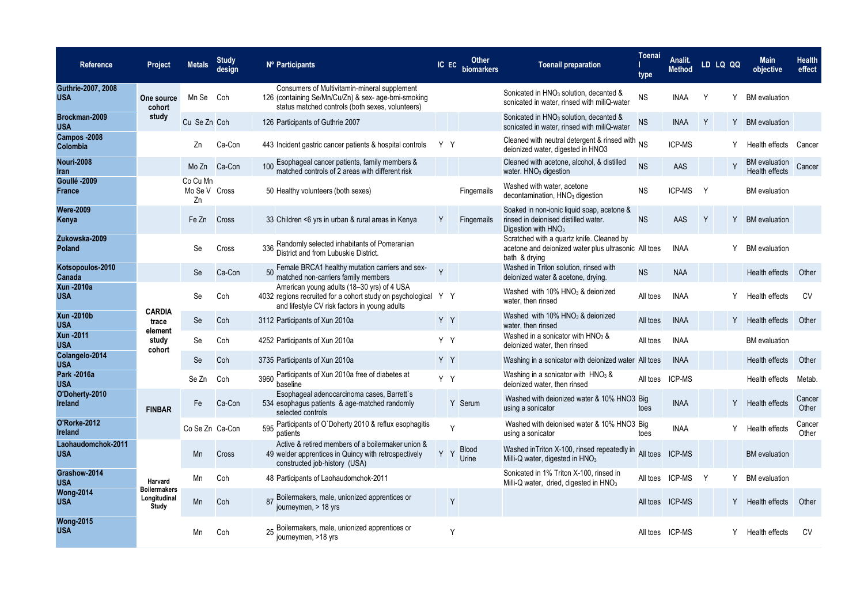| Reference                        | <b>Project</b>                               | <b>Metals</b>                   | <b>Study</b><br>design | Nº Participants                                                                                                                                               | IC EC        | Other<br>biomarkers   | <b>Toenail preparation</b>                                                                                            | <b>Toenai</b><br>type | Analit.<br><b>Method</b> |   | LD LQ QQ | <b>Main</b><br>objective               | <b>Health</b><br>effect |
|----------------------------------|----------------------------------------------|---------------------------------|------------------------|---------------------------------------------------------------------------------------------------------------------------------------------------------------|--------------|-----------------------|-----------------------------------------------------------------------------------------------------------------------|-----------------------|--------------------------|---|----------|----------------------------------------|-------------------------|
| Guthrie-2007, 2008<br><b>USA</b> | One source<br>cohort                         | Mn Se Coh                       |                        | Consumers of Multivitamin-mineral supplement<br>126 (containing Se/Mn/Cu/Zn) & sex- age-bmi-smoking<br>status matched controls (both sexes, volunteers)       |              |                       | Sonicated in HNO <sub>3</sub> solution, decanted &<br>sonicated in water, rinsed with miliQ-water                     | ${\sf NS}$            | <b>INAA</b>              | Y | Y        | <b>BM</b> evaluation                   |                         |
| Brockman-2009<br><b>USA</b>      | study                                        | Cu Se Zn Coh                    |                        | 126 Participants of Guthrie 2007                                                                                                                              |              |                       | Sonicated in HNO <sub>3</sub> solution, decanted &<br>sonicated in water, rinsed with miliQ-water                     | <b>NS</b>             | <b>INAA</b>              | Y |          | Y BM evaluation                        |                         |
| Campos -2008<br>Colombia         |                                              | Zn                              | Ca-Con                 | 443 Incident gastric cancer patients & hospital controls                                                                                                      | Y Y          |                       | Cleaned with neutral detergent & rinsed with NS<br>deionized water, digested in HNO3                                  |                       | ICP-MS                   |   | Y        | Health effects                         | Cancer                  |
| <b>Nouri-2008</b><br>Iran        |                                              | Mo Zn                           | Ca-Con                 | Esophageal cancer patients, family members &<br>100<br>matched controls of 2 areas with different risk                                                        |              |                       | Cleaned with acetone, alcohol, & distilled<br>water. HNO <sub>3</sub> digestion                                       | <b>NS</b>             | AAS                      |   |          | <b>BM</b> evaluation<br>Health effects | Cancer                  |
| Goullé - 2009<br><b>France</b>   |                                              | Co Cu Mn<br>Mo Se V Cross<br>Zn |                        | 50 Healthy volunteers (both sexes)                                                                                                                            |              | Fingernails           | Washed with water, acetone<br>decontamination, HNO <sub>3</sub> digestion                                             | <b>NS</b>             | ICP-MS                   | Y |          | <b>BM</b> evaluation                   |                         |
| <b>Were-2009</b><br>Kenya        |                                              | Fe Zn                           | Cross                  | 33 Children <6 yrs in urban & rural areas in Kenya                                                                                                            | Y            | Fingernails           | Soaked in non-ionic liquid soap, acetone &<br>rinsed in dejonised distilled water.<br>Digestion with HNO <sub>3</sub> | <b>NS</b>             | <b>AAS</b>               | Y | Y        | <b>BM</b> evaluation                   |                         |
| Żukowska-2009<br><b>Poland</b>   |                                              | Se                              | Cross                  | Randomly selected inhabitants of Pomeranian<br>336<br>District and from Lubuskie District.                                                                    |              |                       | Scratched with a quartz knife. Cleaned by<br>acetone and deionized water plus ultrasonic All toes<br>bath & drying    |                       | <b>INAA</b>              |   | Y        | <b>BM</b> evaluation                   |                         |
| Kotsopoulos-2010<br>Canada       |                                              | Se                              | Ca-Con                 | 50 Female BRCA1 healthy mutation carriers and sex-<br>matched non-carriers family members                                                                     | $\mathsf{Y}$ |                       | Washed in Triton solution, rinsed with<br>deionized water & acetone, drying.                                          | <b>NS</b>             | <b>NAA</b>               |   |          | Health effects                         | Other                   |
| <b>Xun-2010a</b><br><b>USA</b>   |                                              | Se                              | Coh                    | American young adults (18-30 yrs) of 4 USA<br>4032 regions recruited for a cohort study on psychological Y Y<br>and lifestyle CV risk factors in young adults |              |                       | Washed with 10% HNO <sub>3</sub> & deionized<br>water, then rinsed                                                    | All toes              | <b>INAA</b>              |   | Υ        | Health effects                         | CV                      |
| <b>Xun-2010b</b><br><b>USA</b>   | <b>CARDIA</b><br>trace<br>element            | Se                              | Coh                    | 3112 Participants of Xun 2010a                                                                                                                                | YY           |                       | Washed with 10% HNO <sub>3</sub> & deionized<br>water, then rinsed                                                    | All toes              | <b>INAA</b>              |   |          | Y Health effects                       | Other                   |
| <b>Xun-2011</b><br><b>USA</b>    | study<br>cohort                              | Se                              | Coh                    | 4252 Participants of Xun 2010a                                                                                                                                | Y Y          |                       | Washed in a sonicator with $HNO3$ &<br>deionized water, then rinsed                                                   | All toes              | <b>INAA</b>              |   |          | <b>BM</b> evaluation                   |                         |
| Colangelo-2014<br><b>USA</b>     |                                              | Se                              | Coh                    | 3735 Participants of Xun 2010a                                                                                                                                | YY           |                       | Washing in a sonicator with deionized water All toes                                                                  |                       | <b>INAA</b>              |   |          | Health effects                         | Other                   |
| Park - 2016a<br><b>USA</b>       |                                              | Se Zn                           | Coh                    | Participants of Xun 2010a free of diabetes at<br>3960<br>baseline                                                                                             | Y Y          |                       | Washing in a sonicator with $HNO3$ &<br>deionized water, then rinsed                                                  | All toes              | ICP-MS                   |   |          | Health effects                         | Metab.                  |
| O'Doherty-2010<br>Ireland        | <b>FINBAR</b>                                | Fe                              | Ca-Con                 | Esophageal adenocarcinoma cases, Barrett's<br>534 esophagus patients & age-matched randomly<br>selected controls                                              |              | Y Serum               | Washed with deionized water & 10% HNO3 Big<br>using a sonicator                                                       | toes                  | <b>INAA</b>              |   |          | Y Health effects                       | Cancer<br>Other         |
| O'Rorke-2012<br>Ireland          |                                              | Co Se Zn Ca-Con                 |                        | Participants of O'Doherty 2010 & reflux esophagitis<br>595<br>patients                                                                                        |              | Y                     | Washed with deionised water & 10% HNO3 Big<br>using a sonicator                                                       | toes                  | <b>INAA</b>              |   | Y        | Health effects                         | Cancer<br>Other         |
| Laohaudomchok-2011<br><b>USA</b> |                                              | Mn                              | Cross                  | Active & retired members of a boilermaker union &<br>49 welder apprentices in Quincy with retrospectively<br>constructed job-history (USA)                    | YY           | <b>Blood</b><br>Urine | Washed in Triton X-100, rinsed repeatedly in<br>Milli-Q water, digested in HNO <sub>3</sub>                           | All toes              | <b>ICP-MS</b>            |   |          | <b>BM</b> evaluation                   |                         |
| Grashow-2014<br><b>USA</b>       | Harvard                                      | Mn                              | Coh                    | 48 Participants of Laohaudomchok-2011                                                                                                                         |              |                       | Sonicated in 1% Triton X-100, rinsed in<br>Milli-Q water, dried, digested in HNO <sub>3</sub>                         | All toes              | ICP-MS                   | Y |          | <b>BM</b> evaluation                   |                         |
| <b>Wong-2014</b><br><b>USA</b>   | <b>Boilermakers</b><br>Longitudinal<br>Study | Mn                              | Coh                    | 87 Boilermakers, male, unionized apprentices or<br>journeymen, > 18 yrs                                                                                       |              | Y                     |                                                                                                                       |                       | All toes ICP-MS          |   |          | Y Health effects                       | Other                   |
| <b>Wong-2015</b><br><b>USA</b>   |                                              | Mn                              | Coh                    | 25 Boilermakers, male, unionized apprentices or<br>journeymen, >18 yrs                                                                                        |              | Y                     |                                                                                                                       |                       | All toes ICP-MS          |   | Y        | Health effects                         | CV                      |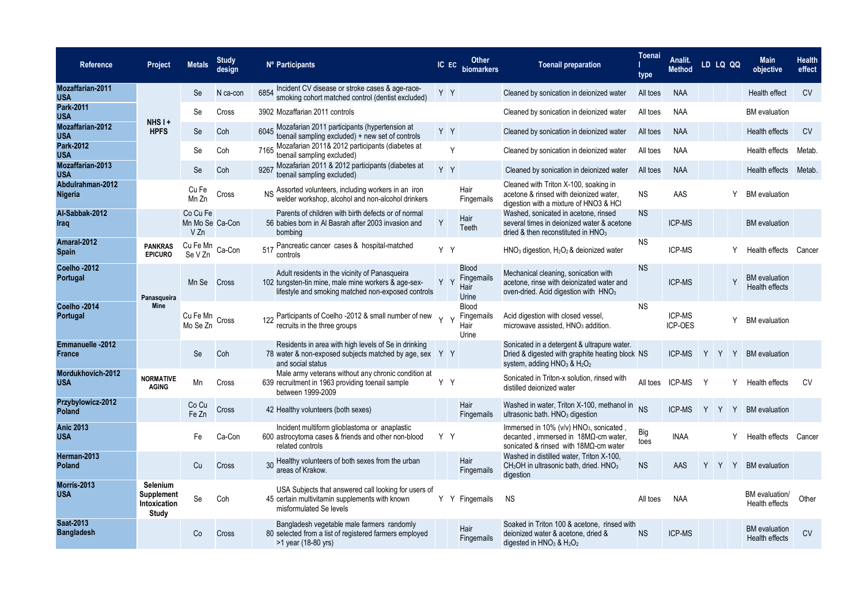| <b>Reference</b>                      | Project                                                | <b>Metals</b>                       | <b>Study</b><br>design | Nº Participants                                                                                                                                             | IC EC   | Other<br>biomarkers                          | <b>Toenail preparation</b>                                                                                                                                 | <b>Toenai</b><br>type | Analit.<br><b>Method</b> |   | LD LQ QQ | <b>Main</b><br>objective               | <b>Health</b><br>effect |
|---------------------------------------|--------------------------------------------------------|-------------------------------------|------------------------|-------------------------------------------------------------------------------------------------------------------------------------------------------------|---------|----------------------------------------------|------------------------------------------------------------------------------------------------------------------------------------------------------------|-----------------------|--------------------------|---|----------|----------------------------------------|-------------------------|
| <b>Mozaffarian-2011</b><br><b>USA</b> |                                                        | Se                                  | N ca-con               | 6854 Incident CV disease or stroke cases & age-race-<br>smoking cohort matched control (dentist excluded)                                                   | Y Y     |                                              | Cleaned by sonication in deionized water                                                                                                                   | All toes              | <b>NAA</b>               |   |          | Health effect                          | <b>CV</b>               |
| Park-2011<br><b>USA</b>               |                                                        | Se                                  | Cross                  | 3902 Mozaffarian 2011 controls                                                                                                                              |         |                                              | Cleaned by sonication in deionized water                                                                                                                   | All toes              | <b>NAA</b>               |   |          | <b>BM</b> evaluation                   |                         |
| <b>Mozaffarian-2012</b><br><b>USA</b> | NHS <sub>I+</sub><br><b>HPFS</b>                       | Se                                  | Coh                    | Mozafarian 2011 participants (hypertension at<br>6045<br>toenail sampling excluded) + new set of controls                                                   | Y Y     |                                              | Cleaned by sonication in deionized water                                                                                                                   | All toes              | <b>NAA</b>               |   |          | Health effects                         | <b>CV</b>               |
| Park-2012<br><b>USA</b>               |                                                        | Se                                  | Coh                    | Mozafarian 2011& 2012 participants (diabetes at<br>7165<br>toenail sampling excluded)                                                                       | Y       |                                              | Cleaned by sonication in deionized water                                                                                                                   | All toes              | <b>NAA</b>               |   |          | Health effects                         | Metab.                  |
| Mozaffarian-2013<br><b>USA</b>        |                                                        | Se                                  | Coh                    | 9267 Mozafarian 2011 & 2012 participants (diabetes at<br>toenail sampling excluded)                                                                         | $Y$ $Y$ |                                              | Cleaned by sonication in deionized water                                                                                                                   | All toes              | <b>NAA</b>               |   |          | Health effects                         | Metab.                  |
| Abdulrahman-2012<br><b>Nigeria</b>    |                                                        | Cu Fe<br>Mn Zn                      | Cross                  | Assorted volunteers, including workers in an iron<br>welder workshop, alcohol and non-alcohol drinkers                                                      |         | Hair<br>Fingernails                          | Cleaned with Triton X-100, soaking in<br>acetone & rinsed with deionized water,<br>digestion with a mixture of HNO3 & HCI                                  | <b>NS</b>             | AAS                      |   |          | <b>BM</b> evaluation                   |                         |
| Al-Sabbak-2012<br>Iraq                |                                                        | Co Cu Fe<br>Mn Mo Se Ca-Con<br>V Zn |                        | Parents of children with birth defects or of normal<br>56 babies born in Al Basrah after 2003 invasion and<br>bombing                                       | Y       | Hair<br>Teeth                                | Washed, sonicated in acetone, rinsed<br>several times in deionized water & acetone<br>dried & then reconstituted in HNO <sub>3</sub>                       | <b>NS</b>             | <b>ICP-MS</b>            |   |          | <b>BM</b> evaluation                   |                         |
| Amaral-2012<br><b>Spain</b>           | <b>PANKRAS</b><br><b>EPICURO</b>                       | Cu Fe Mn<br>Se V Zn                 | Ca-Con                 | 517 Pancreatic cancer cases & hospital-matched<br>controls                                                                                                  | Y Y     |                                              | $HNO3$ digestion, $H2O2$ & deionized water                                                                                                                 | <b>NS</b>             | ICP-MS                   |   |          | Health effects                         | Cancer                  |
| Coelho-2012<br>Portugal               | Panasqueira                                            | Mn Se Cross                         |                        | Adult residents in the vicinity of Panasqueira<br>102 tungsten-tin mine, male mine workers & age-sex-<br>lifestyle and smoking matched non-exposed controls | Y Y     | <b>Blood</b><br>Fingernails<br>Hair<br>Urine | Mechanical cleaning, sonication with<br>acetone, rinse with deionizated water and<br>oven-dried. Acid digestion with $HNO3$                                | <b>NS</b>             | ICP-MS                   |   |          | <b>BM</b> evaluation<br>Health effects |                         |
| Coelho-2014<br>Portugal               | <b>Mine</b>                                            | Cu Fe Mn<br>- Cross<br>Mo Se Zn     |                        | 122 Participants of Coelho -2012 & small number of new<br>recruits in the three groups                                                                      |         | <b>Blood</b><br>Fingernails<br>Hair<br>Urine | Acid digestion with closed vessel,<br>microwave assisted, HNO <sub>3</sub> addition.                                                                       | <b>NS</b>             | ICP-MS<br>ICP-OES        |   | Y        | <b>BM</b> evaluation                   |                         |
| Emmanuelle -2012<br>France            |                                                        | Se                                  | Coh                    | Residents in area with high levels of Se in drinking<br>78 water & non-exposed subjects matched by age, sex<br>and social status                            | Y Y     |                                              | Sonicated in a detergent & ultrapure water.<br>Dried & digested with graphite heating block NS<br>system, adding $HNO3$ & $H2O2$                           |                       | <b>ICP-MS</b>            |   |          | Y Y Y BM evaluation                    |                         |
| Mordukhovich-2012<br><b>USA</b>       | <b>NORMATIVE</b><br><b>AGING</b>                       | Mn                                  | Cross                  | Male army veterans without any chronic condition at<br>639 recruitment in 1963 providing toenail sample<br>between 1999-2009                                | Y Y     |                                              | Sonicated in Triton-x solution, rinsed with<br>distilled deionized water                                                                                   | All toes              | ICP-MS                   |   |          | Health effects                         | <b>CV</b>               |
| Przybylowicz-2012<br>Poland           |                                                        | Co Cu<br>Fe Zn                      | Cross                  | 42 Healthy volunteers (both sexes)                                                                                                                          |         | Hair<br>Fingernails                          | Washed in water, Triton X-100, methanol in<br>ultrasonic bath. HNO <sub>3</sub> digestion                                                                  | <b>NS</b>             | <b>ICP-MS</b>            | Y | YY       | <b>BM</b> evaluation                   |                         |
| <b>Anic 2013</b><br><b>USA</b>        |                                                        | Fe                                  | Ca-Con                 | Incident multiform glioblastoma or anaplastic<br>600 astrocytoma cases & friends and other non-blood<br>related controls                                    | Y Y     |                                              | Immersed in 10% (v/v) HNO <sub>3</sub> , sonicated<br>decanted, immersed in $18M\Omega$ -cm water,<br>sonicated & rinsed with $18\text{M}\Omega$ -cm water | Big<br>toes           | <b>INAA</b>              |   |          | Health effects                         | Cancer                  |
| Herman-2013<br>Poland                 |                                                        | Cu                                  | Cross                  | 30 Healthy volunteers of both sexes from the urban<br>areas of Krakow.                                                                                      |         | Hair<br><b>Fingernails</b>                   | Washed in distilled water, Triton X-100,<br>$CH3OH$ in ultrasonic bath, dried. $HNO3$<br>digestion                                                         | <b>NS</b>             | AAS                      |   |          | Y Y Y BM evaluation                    |                         |
| Morris-2013<br><b>USA</b>             | Selenium<br><b>Supplement</b><br>Intoxication<br>Study | Se                                  | Coh                    | USA Subjects that answered call looking for users of<br>45 certain multivitamin supplements with known<br>misformulated Se levels                           |         | Y Y Fingernails                              | <b>NS</b>                                                                                                                                                  | All toes              | <b>NAA</b>               |   |          | BM evaluation/<br>Health effects       | Other                   |
| Saat-2013<br><b>Bangladesh</b>        |                                                        | Co                                  | Cross                  | Bangladesh vegetable male farmers randomly<br>80 selected from a list of registered farmers employed<br>>1 year (18-80 yrs)                                 |         | Hair<br>Fingernails                          | Soaked in Triton 100 & acetone, rinsed with<br>deionized water & acetone, dried &<br>digested in $HNO3$ & $H2O2$                                           | <b>NS</b>             | <b>ICP-MS</b>            |   |          | <b>BM</b> evaluation<br>Health effects | <b>CV</b>               |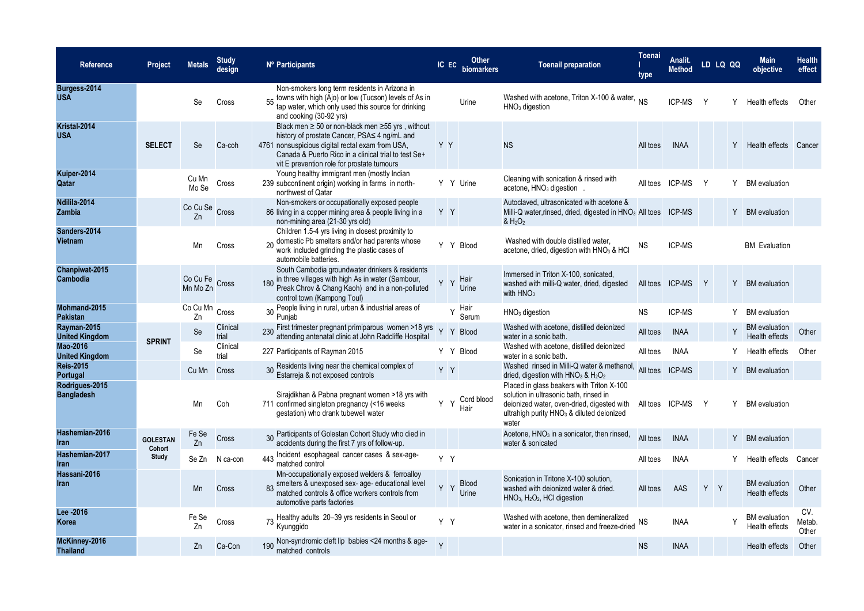| Reference                            | Project         | <b>Metals</b>              | Study<br>design   | Nº Participants                                                                                                                                                                                                                                                       | IC EC        | Other<br>biomarkers | <b>Toenail preparation</b>                                                                                                                                                                          | <b>Toenai</b><br>type | Analit.<br><b>Method</b> |     | LD LQ QQ | <b>Main</b><br>objective                      | <b>Health</b><br>effect |
|--------------------------------------|-----------------|----------------------------|-------------------|-----------------------------------------------------------------------------------------------------------------------------------------------------------------------------------------------------------------------------------------------------------------------|--------------|---------------------|-----------------------------------------------------------------------------------------------------------------------------------------------------------------------------------------------------|-----------------------|--------------------------|-----|----------|-----------------------------------------------|-------------------------|
| Burgess-2014<br><b>USA</b>           |                 | Se                         | Cross             | Non-smokers long term residents in Arizona in<br>55 towns with high (Ajo) or low (Tucson) levels of As in<br>tap water, which only used this source for drinking<br>and cooking (30-92 yrs)                                                                           |              | Urine               | Washed with acetone, Triton X-100 & water, NS<br>$HNO3$ digestion                                                                                                                                   |                       | <b>ICP-MS</b>            |     |          | Health effects                                | Other                   |
| Kristal-2014<br><b>USA</b>           | <b>SELECT</b>   | <b>Se</b>                  | Ca-coh            | Black men $\geq$ 50 or non-black men $\geq$ 55 yrs, without<br>history of prostate Cancer, PSA≤ 4 ng/mL and<br>4761 nonsuspicious digital rectal exam from USA.<br>Canada & Puerto Rico in a clinical trial to test Se+<br>vit E prevention role for prostate tumours | YY           |                     | <b>NS</b>                                                                                                                                                                                           | All toes              | <b>INAA</b>              |     |          | Health effects Cancer                         |                         |
| Kuiper-2014<br>Qatar                 |                 | Cu Mn<br>Mo Se             | Cross             | Young healthy immigrant men (mostly Indian<br>239 subcontinent origin) working in farms in north-<br>northwest of Qatar                                                                                                                                               |              | Y Y Urine           | Cleaning with sonication & rinsed with<br>acetone, HNO <sub>3</sub> digestion                                                                                                                       | All toes              | <b>ICP-MS</b>            | Y   | Y        | <b>BM</b> evaluation                          |                         |
| Ndilila-2014<br>Zambia               |                 | Co Cu Se Cross<br>Zn       |                   | Non-smokers or occupationally exposed people<br>86 living in a copper mining area & people living in a<br>non-mining area (21-30 yrs old)                                                                                                                             | YY           |                     | Autoclaved, ultrasonicated with acetone &<br>Milli-Q water, rinsed, dried, digested in HNO <sub>3</sub> All toes ICP-MS<br>8 H <sub>2</sub> O <sub>2</sub>                                          |                       |                          |     |          | Y BM evaluation                               |                         |
| Sanders-2014<br>Vietnam              |                 | Mn                         | Cross             | Children 1.5-4 yrs living in closest proximity to<br>20 domestic Pb smelters and/or had parents whose<br>work included grinding the plastic cases of<br>automobile batteries.                                                                                         |              | Y Y Blood           | Washed with double distilled water<br>acetone, dried, digestion with $HNO3$ & HCI                                                                                                                   | <b>NS</b>             | ICP-MS                   |     |          | <b>BM</b> Evaluation                          |                         |
| Chanpiwat-2015<br>Cambodia           |                 | Co Cu Fe Cross<br>Mn Mo Zn |                   | South Cambodia groundwater drinkers & residents<br>in three villages with high As in water (Sambour,<br>Preak Chrov & Chang Kaoh) and in a non-polluted<br>control town (Kampong Toul)                                                                                | Y            | Hair<br>Y<br>Urine  | Immersed in Triton X-100, sonicated,<br>washed with milli-Q water, dried, digested<br>with $HNO3$                                                                                                   |                       | All toes ICP-MS          | Y   |          | Y BM evaluation                               |                         |
| Mohmand-2015<br><b>Pakistan</b>      |                 | Co Cu Mn<br>Zn             | Cross             | 30 People living in rural, urban & industrial areas of<br>Puniab                                                                                                                                                                                                      |              | Hair<br>Serum       | HNO <sub>3</sub> digestion                                                                                                                                                                          | <b>NS</b>             | ICP-MS                   |     |          | <b>BM</b> evaluation                          |                         |
| Rayman-2015<br><b>United Kingdom</b> | <b>SPRINT</b>   | Se                         | Clinical<br>trial | First trimester pregnant primiparous women >18 yrs<br>attending antenatal clinic at John Radcliffe Hospital                                                                                                                                                           | Y            | Y<br><b>Blood</b>   | Washed with acetone, distilled deionized<br>water in a sonic bath.                                                                                                                                  | All toes              | <b>INAA</b>              |     |          | <b>BM</b> evaluation<br><b>Health effects</b> | Other                   |
| Mao-2016<br><b>United Kingdom</b>    |                 | Se                         | Clinical<br>trial | 227 Participants of Rayman 2015                                                                                                                                                                                                                                       |              | Y Y Blood           | Washed with acetone, distilled deionized<br>water in a sonic bath.                                                                                                                                  | All toes              | <b>INAA</b>              |     |          | Health effects                                | Other                   |
| <b>Reis-2015</b><br>Portugal         |                 | Cu Mn                      | Cross             | 30 Residents living near the chemical complex of<br>Estarreja & not exposed controls                                                                                                                                                                                  | YY           |                     | Washed rinsed in Milli-Q water & methanol,<br>dried, digestion with $HNO3$ & $H2O2$                                                                                                                 | All toes              | <b>ICP-MS</b>            |     |          | Y BM evaluation                               |                         |
| Rodrigues-2015<br><b>Bangladesh</b>  |                 | Mn                         | Coh               | Sirajdikhan & Pabna pregnant women >18 yrs with<br>711 confirmed singleton pregnancy (<16 weeks<br>gestation) who drank tubewell water                                                                                                                                | Y            | Cord blood<br>Hair  | Placed in glass beakers with Triton X-100<br>solution in ultrasonic bath, rinsed in<br>deionized water, oven-dried, digested with<br>ultrahigh purity HNO <sub>3</sub> & diluted deionized<br>water |                       | All toes ICP-MS          | Y   | Y        | <b>BM</b> evaluation                          |                         |
| Hashemian-2016<br>Iran               | <b>GOLESTAN</b> | Fe Se<br>Zn                | Cross             | 30 Participants of Golestan Cohort Study who died in<br>accidents during the first 7 yrs of follow-up.                                                                                                                                                                |              |                     | Acetone, HNO <sub>3</sub> in a sonicator, then rinsed,<br>water & sonicated                                                                                                                         | All toes              | <b>INAA</b>              |     |          | Y BM evaluation                               |                         |
| Hashemian-2017<br><b>Iran</b>        | Cohort<br>Study | Se Zn                      | N ca-con          | Incident esophageal cancer cases & sex-age-<br>443<br>matched control                                                                                                                                                                                                 | Y Y          |                     |                                                                                                                                                                                                     | All toes              | <b>INAA</b>              |     |          | Health effects                                | Cancer                  |
| Hassani-2016<br>Iran                 |                 | Mn                         | Cross             | Mn-occupationally exposed welders & ferroalloy<br>83 smelters & unexposed sex- age- educational level<br>matched controls & office workers controls from<br>automotive parts factories                                                                                | Y Y          | Blood<br>Urine      | Sonication in Tritone X-100 solution,<br>washed with deionized water & dried.<br>HNO <sub>3</sub> , H <sub>2</sub> O <sub>2</sub> , HCl digestion                                                   | All toes              | AAS                      | Y Y |          | <b>BM</b> evaluation<br>Health effects        | Other                   |
| Lee -2016<br>Korea                   |                 | Fe Se<br>Zn                | Cross             | 73 Healthy adults 20-39 yrs residents in Seoul or<br>Kyunggido                                                                                                                                                                                                        | Y Y          |                     | Washed with acetone, then demineralized<br>water in a sonicator, rinsed and freeze-dried                                                                                                            | ΝS                    | <b>INAA</b>              |     |          | <b>BM</b> evaluation<br>Health effects        | CV.<br>Metab.<br>Other  |
| McKinney-2016<br><b>Thailand</b>     |                 | Zn                         | Ca-Con            | 190 Non-syndromic cleft lip babies <24 months & age-<br>matched controls                                                                                                                                                                                              | $\mathsf{Y}$ |                     |                                                                                                                                                                                                     | <b>NS</b>             | <b>INAA</b>              |     |          | Health effects                                | Other                   |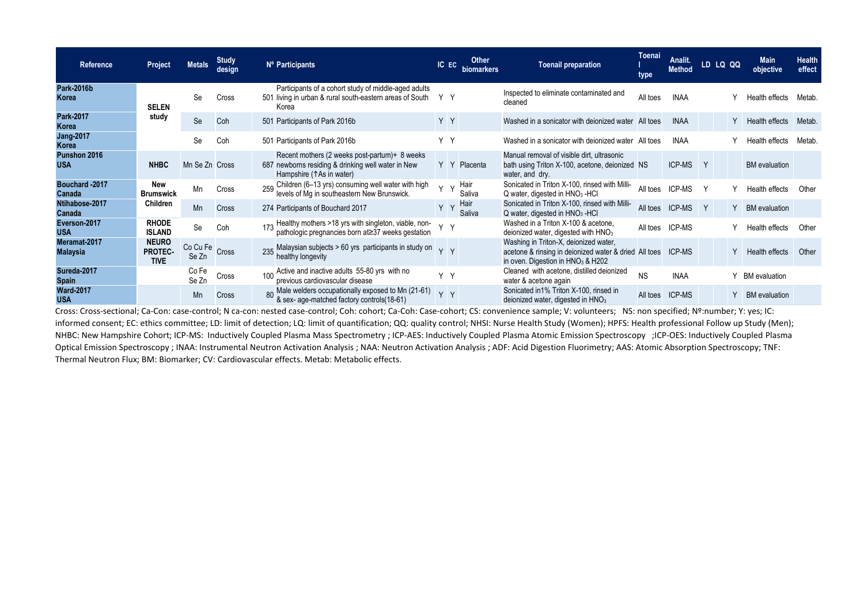| Reference                       | Project                                       | <b>Metals</b>           | Study<br>design | Nº Participants                                                                                                                 | IC EC  | <b>biomarkers</b> | <b>Toenail preparation</b>                                                                                                                      | Toenai<br>type | Analit.<br><b>Method</b> |          | LD LQ QQ | <b>Main</b><br>objective | <b>Health</b><br>effect |
|---------------------------------|-----------------------------------------------|-------------------------|-----------------|---------------------------------------------------------------------------------------------------------------------------------|--------|-------------------|-------------------------------------------------------------------------------------------------------------------------------------------------|----------------|--------------------------|----------|----------|--------------------------|-------------------------|
| <b>Park-2016b</b><br>Korea      | <b>SELEN</b>                                  | Se                      | Cross           | Participants of a cohort study of middle-aged adults<br>501 living in urban & rural south-eastern areas of South<br>Korea       | Y Y    |                   | Inspected to eliminate contaminated and<br>cleaned                                                                                              | All toes       | <b>INAA</b>              |          |          | Health effects           | Metab.                  |
| Park-2017<br>Korea              | study                                         | Se                      | Coh             | 501 Participants of Park 2016b                                                                                                  | Y Y    |                   | Washed in a sonicator with deionized water All toes                                                                                             |                | <b>INAA</b>              |          | Y        | Health effects           | Metab.                  |
| <b>Jang-2017</b><br>Korea       |                                               | Se                      | Coh             | 501 Participants of Park 2016b                                                                                                  | Y Y    |                   | Washed in a sonicator with deionized water All toes                                                                                             |                | <b>INAA</b>              |          |          | Health effects           | Metab.                  |
| Punshon 2016<br><b>USA</b>      | <b>NHBC</b>                                   | Mn Se Zn Cross          |                 | Recent mothers (2 weeks post-partum)+ 8 weeks<br>687 newborns residing & drinking well water in New<br>Hampshire (TAs in water) |        | Y Y Placenta      | Manual removal of visible dirt, ultrasonic<br>bath using Triton X-100, acetone, deionized NS<br>water, and dry.                                 |                | <b>ICP-MS</b>            | <b>Y</b> |          | <b>BM</b> evaluation     |                         |
| Bouchard - 2017<br>Canada       | <b>New</b><br><b>Brumswick</b>                | Mn                      | Cross           | ) Children (6–13 yrs) consuming well water with high<br>I levels of Mg in southeastern New Brunswick.                           | $\vee$ | Hair<br>Saliva    | Sonicated in Triton X-100, rinsed with Milli-<br>$Q$ water, digested in $HNO3$ -HCl                                                             | All toes       | <b>ICP-MS</b>            |          |          | Health effects           | Other                   |
| Ntihabose-2017<br>Canada        | Children                                      | Mn                      | <b>Cross</b>    | 274 Participants of Bouchard 2017                                                                                               | Y Y    | Hair<br>Saliva    | Sonicated in Triton X-100, rinsed with Milli-<br>Q water, digested in HNO <sub>3</sub> -HCl                                                     | All toes       | <b>ICP-MS</b>            | Y        | Y        | <b>BM</b> evaluation     |                         |
| Everson-2017<br><b>USA</b>      | <b>RHODE</b><br><b>ISLAND</b>                 | Se                      | Coh             | 173 Healthy mothers >18 yrs with singleton, viable, non-<br>pathologic pregnancies born at≥37 weeks gestation                   | Y Y    |                   | Washed in a Triton X-100 & acetone.<br>deionized water, digested with HNO <sub>3</sub>                                                          | All toes       | <b>ICP-MS</b>            |          |          | Health effects           | Other                   |
| Meramat-2017<br><b>Malaysia</b> | <b>NEURO</b><br><b>PROTEC-</b><br><b>TIVE</b> | Co Cu Fe Cross<br>Se Zn |                 | 235 Malaysian subjects > 60 yrs participants in study on<br>healthy longevity                                                   | YY     |                   | Washing in Triton-X, deionized water,<br>acetone & rinsing in deionized water & dried All toes<br>in oven. Digestion in HNO <sub>3</sub> & H202 |                | <b>ICP-MS</b>            |          |          | Health effects           | Other                   |
| Sureda-2017<br><b>Spain</b>     |                                               | Co Fe<br>Se Zn          | Cross           | Active and inactive adults 55-80 yrs with no<br>100<br>previous cardiovascular disease                                          | Y Y    |                   | Cleaned with acetone, distilled deionized<br>water & acetone again                                                                              | <b>NS</b>      | <b>INAA</b>              |          |          | <b>BM</b> evaluation     |                         |
| <b>Ward-2017</b><br><b>USA</b>  |                                               | Mn                      | <b>Cross</b>    | 80 Male welders occupationally exposed to Mn (21-61)<br>& sex- age-matched factory controls(18-61)                              | Y Y    |                   | Sonicated in 1% Triton X-100, rinsed in<br>deionized water, digested in HNO <sub>3</sub>                                                        | All toes       | <b>ICP-MS</b>            |          | Y        | <b>BM</b> evaluation     |                         |

Cross: Cross-sectional; Ca-Con: case-control; N ca-con: nested case-control; Coh: cohort; Ca-Coh: Case-cohort; CS: convenience sample; V: volunteers; NS: non specified; Nº:number; Y: yes; IC: informed consent; EC: ethics committee; LD: limit of detection; LQ: limit of quantification; QQ: quality control; NHSI: Nurse Health Study (Women); HPFS: Health professional Follow up Study (Men); NHBC: New Hampshire Cohort; ICP-MS: Inductively Coupled Plasma Mass Spectrometry ; ICP-AES: Inductively Coupled Plasma Atomic Emission Spectroscopy ;ICP-OES: Inductively Coupled Plasma Optical Emission Spectroscopy ; INAA: Instrumental Neutron Activation Analysis ; NAA: Neutron Activation Analysis ; ADF: Acid Digestion Fluorimetry; AAS: Atomic Absorption Spectroscopy; TNF: Thermal Neutron Flux; BM: Biomarker; CV: Cardiovascular effects. Metab: Metabolic effects.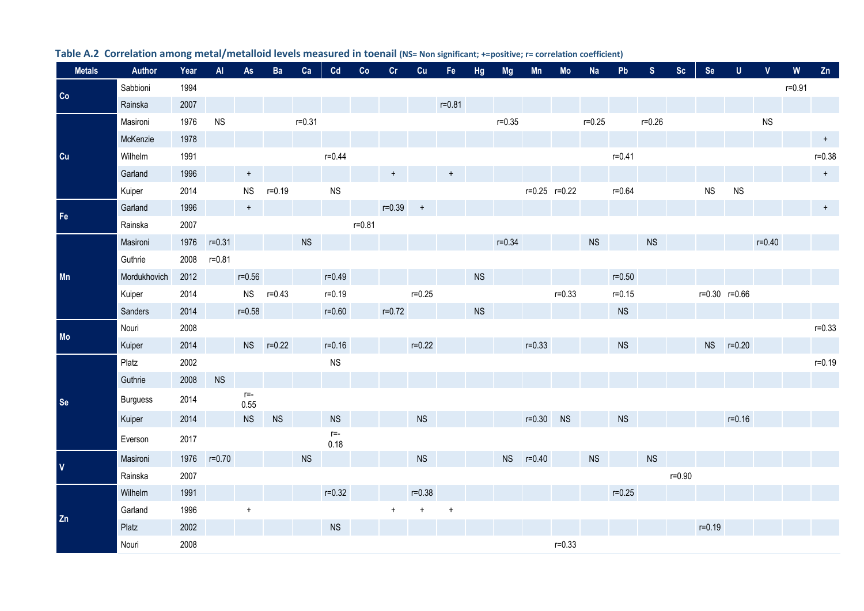<span id="page-9-0"></span>

| <b>Metals</b>      | Author          | Year | $\overline{A}$ | As              | Ba         | Ca         | Cd              | Co         | Cr         | Cu         | Fe         | <b>Hg</b> | <b>Mg</b>  | Mn            | Mo         | <b>Na</b>  | Pb         | <sub>S</sub> | Sc         | <b>Se</b>  | $\mathsf{U}$      | $\mathbf{V}$ | W          | Zn         |
|--------------------|-----------------|------|----------------|-----------------|------------|------------|-----------------|------------|------------|------------|------------|-----------|------------|---------------|------------|------------|------------|--------------|------------|------------|-------------------|--------------|------------|------------|
| Co                 | Sabbioni        | 1994 |                |                 |            |            |                 |            |            |            |            |           |            |               |            |            |            |              |            |            |                   |              | $r = 0.91$ |            |
|                    | Rainska         | 2007 |                |                 |            |            |                 |            |            |            | $r = 0.81$ |           |            |               |            |            |            |              |            |            |                   |              |            |            |
|                    | Masironi        | 1976 | <b>NS</b>      |                 |            | $r = 0.31$ |                 |            |            |            |            |           | $r = 0.35$ |               |            | $r = 0.25$ |            | $r = 0.26$   |            |            |                   | ${\sf NS}$   |            |            |
|                    | McKenzie        | 1978 |                |                 |            |            |                 |            |            |            |            |           |            |               |            |            |            |              |            |            |                   |              |            | $+$        |
| cu                 | Wilhelm         | 1991 |                |                 |            |            | $r = 0.44$      |            |            |            |            |           |            |               |            |            | $r = 0.41$ |              |            |            |                   |              |            | $r = 0.38$ |
|                    | Garland         | 1996 |                | $\pmb{+}$       |            |            |                 |            | $\ddot{}$  |            | $\ddot{}$  |           |            |               |            |            |            |              |            |            |                   |              |            | $+$        |
|                    | Kuiper          | 2014 |                | <b>NS</b>       | $r = 0.19$ |            | ${\sf NS}$      |            |            |            |            |           |            | r=0.25 r=0.22 |            |            | $r = 0.64$ |              |            | ${\sf NS}$ | <b>NS</b>         |              |            |            |
| $\mathsf{Fe}$      | Garland         | 1996 |                | $\ddot{}$       |            |            |                 |            | $r = 0.39$ | $+$        |            |           |            |               |            |            |            |              |            |            |                   |              |            | $+$        |
|                    | Rainska         | 2007 |                |                 |            |            |                 | $r = 0.81$ |            |            |            |           |            |               |            |            |            |              |            |            |                   |              |            |            |
|                    | Masironi        | 1976 | $r = 0.31$     |                 |            | NS         |                 |            |            |            |            |           | $r = 0.34$ |               |            | <b>NS</b>  |            | <b>NS</b>    |            |            |                   | $r = 0.40$   |            |            |
|                    | Guthrie         | 2008 | $r = 0.81$     |                 |            |            |                 |            |            |            |            |           |            |               |            |            |            |              |            |            |                   |              |            |            |
| Mn                 | Mordukhovich    | 2012 |                | $r = 0.56$      |            |            | $r = 0.49$      |            |            |            |            | <b>NS</b> |            |               |            |            | $r = 0.50$ |              |            |            |                   |              |            |            |
|                    | Kuiper          | 2014 |                | <b>NS</b>       | $r = 0.43$ |            | $r = 0.19$      |            |            | $r = 0.25$ |            |           |            |               | $r = 0.33$ |            | $r = 0.15$ |              |            |            | $r=0.30$ $r=0.66$ |              |            |            |
|                    | Sanders         | 2014 |                | $r = 0.58$      |            |            | $r = 0.60$      |            | $r = 0.72$ |            |            | <b>NS</b> |            |               |            |            | <b>NS</b>  |              |            |            |                   |              |            |            |
|                    | Nouri           | 2008 |                |                 |            |            |                 |            |            |            |            |           |            |               |            |            |            |              |            |            |                   |              |            | $r = 0.33$ |
| Mo                 | Kuiper          | 2014 |                |                 | NS r=0.22  |            | $r = 0.16$      |            |            | $r = 0.22$ |            |           |            | $r = 0.33$    |            |            | <b>NS</b>  |              |            | <b>NS</b>  | $r = 0.20$        |              |            |            |
|                    | Platz           | 2002 |                |                 |            |            | ${\sf NS}$      |            |            |            |            |           |            |               |            |            |            |              |            |            |                   |              |            | $r = 0.19$ |
|                    | Guthrie         | 2008 | <b>NS</b>      |                 |            |            |                 |            |            |            |            |           |            |               |            |            |            |              |            |            |                   |              |            |            |
| Se                 | <b>Burguess</b> | 2014 |                | $r = -$<br>0.55 |            |            |                 |            |            |            |            |           |            |               |            |            |            |              |            |            |                   |              |            |            |
|                    | Kuiper          | 2014 |                | <b>NS</b>       | <b>NS</b>  |            | <b>NS</b>       |            |            | <b>NS</b>  |            |           |            | $r = 0.30$    | <b>NS</b>  |            | <b>NS</b>  |              |            |            | $r = 0.16$        |              |            |            |
|                    | Everson         | 2017 |                |                 |            |            | $r = -$<br>0.18 |            |            |            |            |           |            |               |            |            |            |              |            |            |                   |              |            |            |
| $\pmb{\mathsf{V}}$ | Masironi        | 1976 | $r = 0.70$     |                 |            | <b>NS</b>  |                 |            |            | <b>NS</b>  |            |           |            | NS r=0.40     |            | <b>NS</b>  |            | <b>NS</b>    |            |            |                   |              |            |            |
|                    | Rainska         | 2007 |                |                 |            |            |                 |            |            |            |            |           |            |               |            |            |            |              | $r = 0.90$ |            |                   |              |            |            |
|                    | Wilhelm         | 1991 |                |                 |            |            | $r = 0.32$      |            |            | $r = 0.38$ |            |           |            |               |            |            | $r = 0.25$ |              |            |            |                   |              |            |            |
|                    | Garland         | 1996 |                | $\ddot{}$       |            |            |                 |            |            |            | $\ddot{}$  |           |            |               |            |            |            |              |            |            |                   |              |            |            |
| Zn                 | Platz           | 2002 |                |                 |            |            | <b>NS</b>       |            |            |            |            |           |            |               |            |            |            |              |            | $r = 0.19$ |                   |              |            |            |
|                    | Nouri           | 2008 |                |                 |            |            |                 |            |            |            |            |           |            |               | $r = 0.33$ |            |            |              |            |            |                   |              |            |            |

## **Table A.2 Correlation among metal/metalloid levels measured in toenail (NS= Non significant; +=positive; r= correlation coefficient)**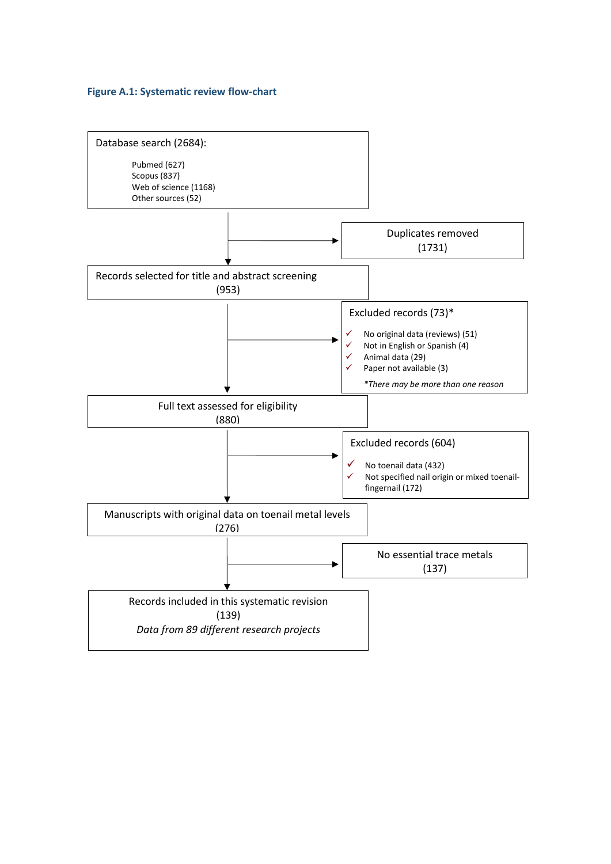#### <span id="page-10-0"></span>**Figure A.1: Systematic review flow-chart**